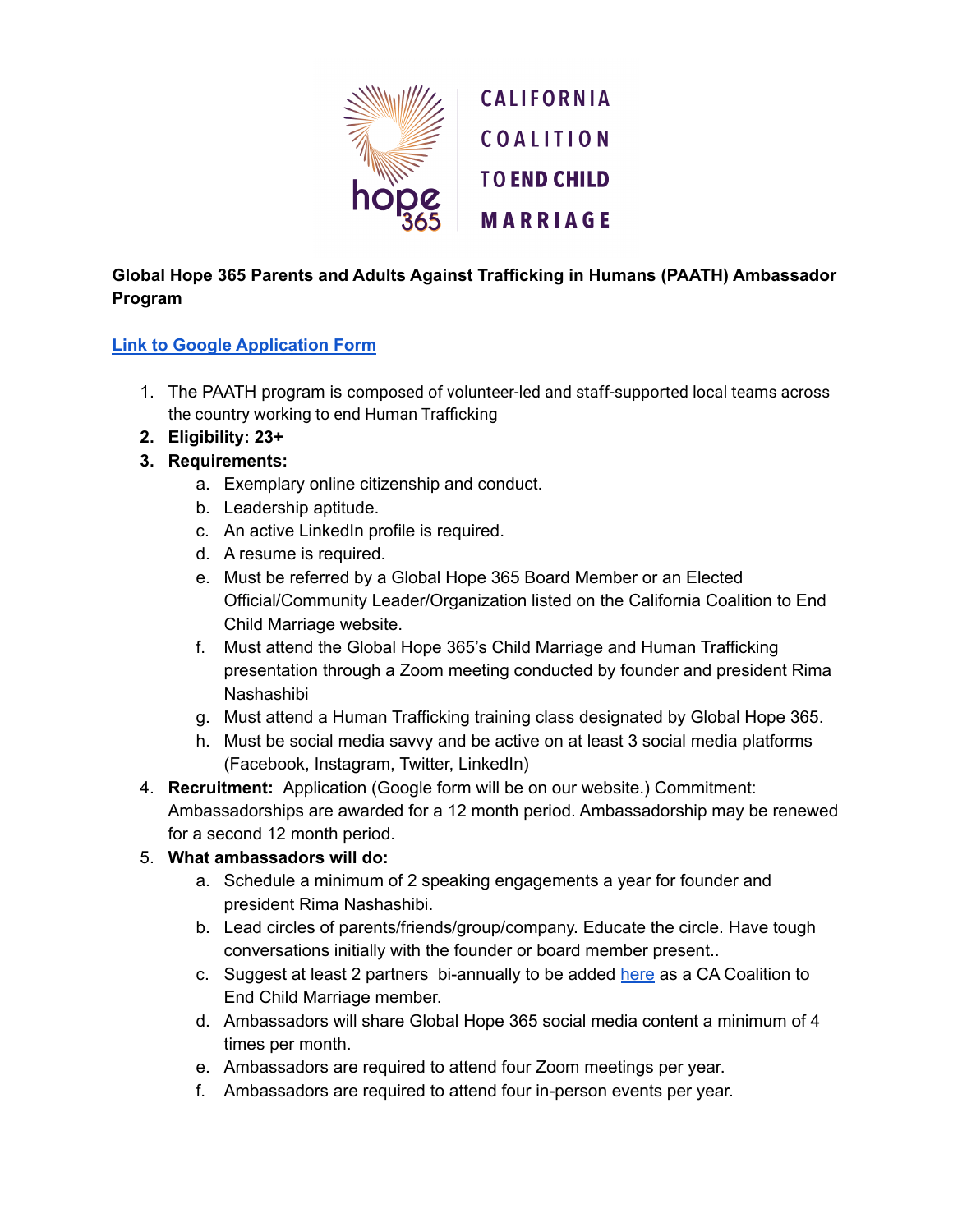

## **Global Hope 365 Parents and Adults Against Trafficking in Humans (PAATH) Ambassador Program**

## **Link to Google [Application](https://docs.google.com/forms/d/e/1FAIpQLSfvwOiG-wfkkiX5tjPEQMMVvKYpv4hLA8gE10cVRPx_JWiBNQ/viewform) Form**

- 1. The PAATH program is composed of volunteer-led and staff-supported local teams across the country working to end Human Trafficking
- **2. Eligibility: 23+**
- **3. Requirements:**
	- a. Exemplary online citizenship and conduct.
	- b. Leadership aptitude.
	- c. An active LinkedIn profile is required.
	- d. A resume is required.
	- e. Must be referred by a Global Hope 365 Board Member or an Elected Official/Community Leader/Organization listed on the California Coalition to End Child Marriage website.
	- f. Must attend the Global Hope 365's Child Marriage and Human Trafficking presentation through a Zoom meeting conducted by founder and president Rima Nashashibi
	- g. Must attend a Human Trafficking training class designated by Global Hope 365.
	- h. Must be social media savvy and be active on at least 3 social media platforms (Facebook, Instagram, Twitter, LinkedIn)
- 4. **Recruitment:** Application (Google form will be on our website.) Commitment: Ambassadorships are awarded for a 12 month period. Ambassadorship may be renewed for a second 12 month period.

## 5. **What ambassadors will do:**

- a. Schedule a minimum of 2 speaking engagements a year for founder and president Rima Nashashibi.
- b. Lead circles of parents/friends/group/company. Educate the circle. Have tough conversations initially with the founder or board member present..
- c. Suggest at least 2 partners bi-annually to be added [here](https://cacoalitiontoendchildmarriage.org/coalition-members2/) as a CA Coalition to End Child Marriage member.
- d. Ambassadors will share Global Hope 365 social media content a minimum of 4 times per month.
- e. Ambassadors are required to attend four Zoom meetings per year.
- f. Ambassadors are required to attend four in-person events per year.